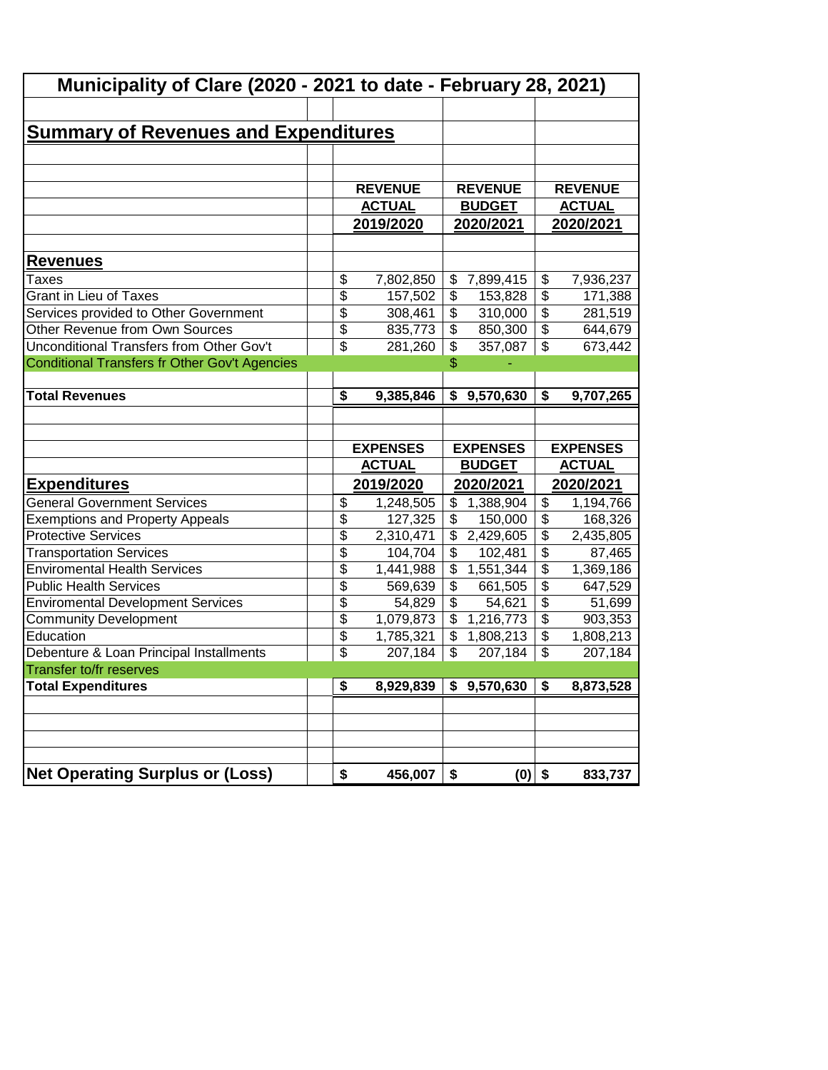| Municipality of Clare (2020 - 2021 to date - February 28, 2021)          |                                    |                                  |                          |                                  |                                        |                                  |  |           |  |
|--------------------------------------------------------------------------|------------------------------------|----------------------------------|--------------------------|----------------------------------|----------------------------------------|----------------------------------|--|-----------|--|
|                                                                          |                                    |                                  |                          |                                  |                                        |                                  |  |           |  |
| <u>Summary of Revenues and Expenditures</u>                              |                                    |                                  |                          |                                  |                                        |                                  |  |           |  |
|                                                                          |                                    |                                  |                          |                                  |                                        |                                  |  |           |  |
|                                                                          |                                    |                                  |                          |                                  |                                        |                                  |  |           |  |
|                                                                          |                                    | <b>REVENUE</b>                   |                          | <b>REVENUE</b>                   |                                        | <b>REVENUE</b>                   |  |           |  |
|                                                                          |                                    | <b>ACTUAL</b>                    | <b>BUDGET</b>            |                                  |                                        | <b>ACTUAL</b>                    |  |           |  |
|                                                                          |                                    | 2019/2020                        |                          |                                  | 2020/2021                              |                                  |  | 2020/2021 |  |
| <u>Revenues</u>                                                          |                                    |                                  |                          |                                  |                                        |                                  |  |           |  |
| Taxes                                                                    | \$                                 | 7,802,850                        |                          | \$7,899,415                      | \$                                     | 7,936,237                        |  |           |  |
| <b>Grant in Lieu of Taxes</b>                                            | $\overline{\$}$                    | 157,502                          | \$                       | 153,828                          | \$                                     | 171,388                          |  |           |  |
| Services provided to Other Government                                    | \$                                 | 308,461                          | \$                       | 310,000                          | \$                                     | 281,519                          |  |           |  |
| Other Revenue from Own Sources                                           | $\overline{\$}$                    | 835,773                          | \$                       | 850,300                          | $\overline{\mathcal{L}}$               | 644,679                          |  |           |  |
| Unconditional Transfers from Other Gov't                                 | $\overline{\mathbf{S}}$            | 281,260                          | \$                       | 357,087                          | \$                                     | 673,442                          |  |           |  |
| Conditional Transfers fr Other Gov't Agencies                            |                                    |                                  | \$                       |                                  |                                        |                                  |  |           |  |
|                                                                          |                                    |                                  |                          |                                  |                                        |                                  |  |           |  |
| <b>Total Revenues</b>                                                    | \$                                 | 9,385,846                        | \$                       | 9,570,630                        | $\overline{\boldsymbol{\mathfrak{s}}}$ | 9,707,265                        |  |           |  |
|                                                                          |                                    |                                  |                          |                                  |                                        |                                  |  |           |  |
|                                                                          |                                    |                                  |                          |                                  |                                        |                                  |  |           |  |
|                                                                          |                                    |                                  |                          |                                  |                                        |                                  |  |           |  |
|                                                                          |                                    |                                  |                          |                                  |                                        |                                  |  |           |  |
|                                                                          |                                    | <b>EXPENSES</b><br><b>ACTUAL</b> |                          | <b>EXPENSES</b><br><b>BUDGET</b> |                                        | <b>EXPENSES</b><br><b>ACTUAL</b> |  |           |  |
|                                                                          |                                    |                                  |                          |                                  |                                        |                                  |  |           |  |
| <u>Expenditures</u>                                                      |                                    | 2019/2020                        |                          | 2020/2021                        |                                        | 2020/2021                        |  |           |  |
| <b>General Government Services</b>                                       | \$                                 | 1,248,505                        | \$                       | 1,388,904                        | $\overline{\mathbf{3}}$                | 1,194,766                        |  |           |  |
| <b>Exemptions and Property Appeals</b>                                   | $\overline{\$}$                    | 127,325                          | $\overline{\$}$          | 150,000                          | $\overline{\$}$                        | 168,326                          |  |           |  |
| <b>Protective Services</b>                                               | $\overline{\$}$                    | 2,310,471                        | \$                       | 2,429,605                        | $\overline{\mathcal{L}}$               | 2,435,805                        |  |           |  |
| <b>Transportation Services</b><br><b>Enviromental Health Services</b>    | $\overline{\$}$                    | 104,704                          | \$<br>\$                 | 102,481                          | $\overline{\$}$                        | 87,465                           |  |           |  |
| <b>Public Health Services</b>                                            | $\overline{\$}$                    | 1,441,988<br>569,639             | \$                       | 1,551,344<br>661,505             | $\overline{\$}$<br>$\overline{\$}$     | 1,369,186<br>647,529             |  |           |  |
|                                                                          | $\overline{\$}$<br>$\overline{\$}$ | 54,829                           | \$                       | 54,621                           | $\overline{\mathcal{L}}$               | 51,699                           |  |           |  |
| <b>Enviromental Development Services</b><br><b>Community Development</b> | $\overline{\$}$                    | 1,079,873                        | $\overline{\mathcal{S}}$ | 1,216,773                        | $\overline{\mathcal{S}}$               | 903,353                          |  |           |  |
| Education                                                                | $\overline{\$}$                    | 1,785,321                        | $\overline{\mathcal{L}}$ |                                  | $\overline{\mathcal{S}}$               | 1,808,213                        |  |           |  |
| Debenture & Loan Principal Installments                                  | $\overline{\$}$                    | 207,184                          | \$                       | 1,808,213<br>207,184             | $\boldsymbol{\mathsf{S}}$              | 207,184                          |  |           |  |
| Transfer to/fr reserves                                                  |                                    |                                  |                          |                                  |                                        |                                  |  |           |  |
| <b>Total Expenditures</b>                                                | \$                                 | 8,929,839                        |                          | \$9,570,630                      | \$                                     | 8,873,528                        |  |           |  |
|                                                                          |                                    |                                  |                          |                                  |                                        |                                  |  |           |  |
|                                                                          |                                    |                                  |                          |                                  |                                        |                                  |  |           |  |
|                                                                          |                                    |                                  |                          |                                  |                                        |                                  |  |           |  |
|                                                                          |                                    |                                  |                          |                                  |                                        |                                  |  |           |  |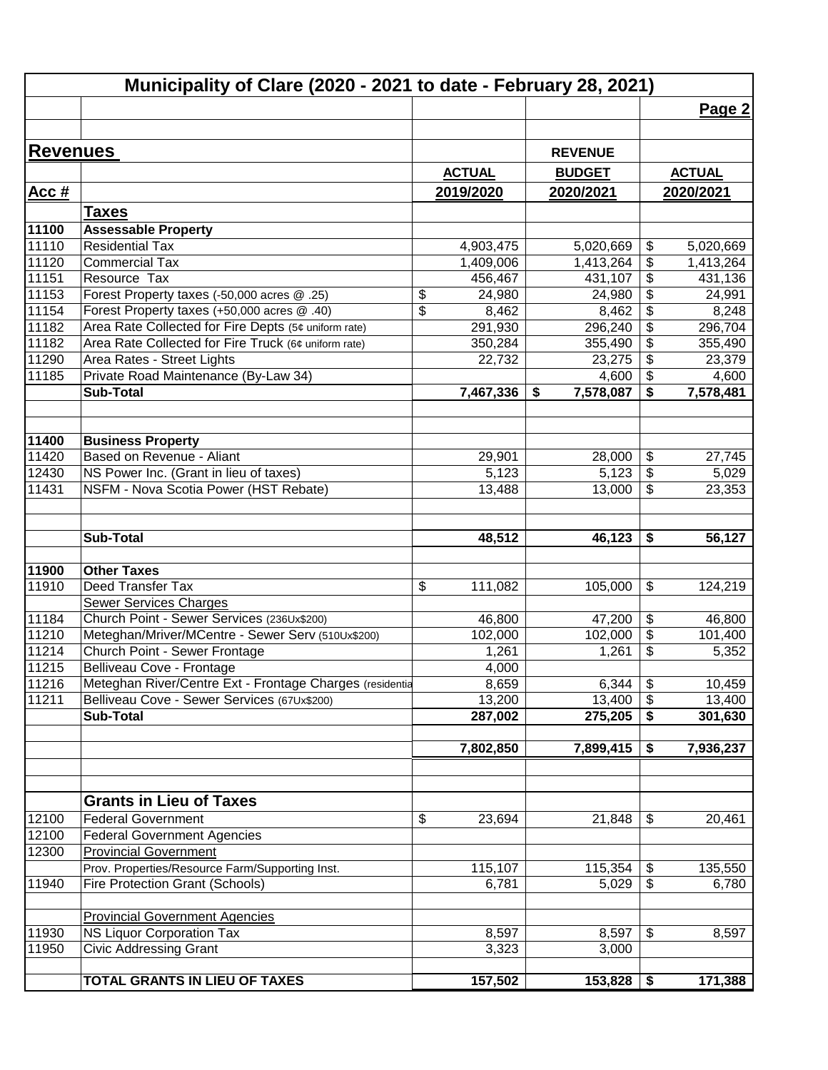|                 | Municipality of Clare (2020 - 2021 to date - February 28, 2021) |               |                 |                                                        |               |
|-----------------|-----------------------------------------------------------------|---------------|-----------------|--------------------------------------------------------|---------------|
|                 |                                                                 |               |                 |                                                        | Page 2        |
|                 |                                                                 |               |                 |                                                        |               |
| <b>Revenues</b> |                                                                 |               | <b>REVENUE</b>  |                                                        |               |
|                 |                                                                 | <b>ACTUAL</b> | <b>BUDGET</b>   |                                                        | <b>ACTUAL</b> |
|                 |                                                                 |               |                 |                                                        |               |
| Acc#            |                                                                 | 2019/2020     | 2020/2021       |                                                        | 2020/2021     |
|                 | <u>Taxes</u>                                                    |               |                 |                                                        |               |
| 11100           | <b>Assessable Property</b>                                      |               |                 |                                                        |               |
| 11110           | <b>Residential Tax</b>                                          | 4,903,475     | 5,020,669       | \$                                                     | 5,020,669     |
| 11120           | <b>Commercial Tax</b>                                           | 1,409,006     | 1,413,264       | \$                                                     | 1,413,264     |
| 11151           | Resource Tax                                                    | 456,467       | 431,107         | $\overline{\boldsymbol{\mathsf{s}}}$                   | 431,136       |
| 11153           | Forest Property taxes (-50,000 acres @ .25)                     | \$<br>24,980  | 24,980          | $\boldsymbol{\mathsf{S}}$                              | 24,991        |
| 11154           | Forest Property taxes (+50,000 acres @ .40)                     | \$<br>8,462   | 8,462           | $\boldsymbol{\theta}$                                  | 8,248         |
| 11182           | Area Rate Collected for Fire Depts (5¢ uniform rate)            | 291,930       | 296,240         | $\overline{\boldsymbol{\mathsf{s}}}$                   | 296,704       |
| 11182           | Area Rate Collected for Fire Truck (6¢ uniform rate)            | 350,284       | 355,490         | $\boldsymbol{\mathsf{S}}$                              | 355,490       |
| 11290           | Area Rates - Street Lights                                      | 22,732        | 23,275          | $\boldsymbol{\mathsf{S}}$<br>$\boldsymbol{\mathsf{S}}$ | 23,379        |
| 11185           | Private Road Maintenance (By-Law 34)                            |               | 4,600           |                                                        | 4,600         |
|                 | <b>Sub-Total</b>                                                | 7,467,336     | 7,578,087<br>\$ | \$                                                     | 7,578,481     |
| 11400           | <b>Business Property</b>                                        |               |                 |                                                        |               |
| 11420           | Based on Revenue - Aliant                                       | 29,901        | 28,000          | $\boldsymbol{\theta}$                                  | 27,745        |
| 12430           | NS Power Inc. (Grant in lieu of taxes)                          | 5,123         | 5,123           | $\boldsymbol{\mathsf{S}}$                              | 5,029         |
| 11431           | NSFM - Nova Scotia Power (HST Rebate)                           | 13,488        | 13,000          | $\boldsymbol{\mathsf{S}}$                              | 23,353        |
|                 |                                                                 |               |                 |                                                        |               |
|                 | <b>Sub-Total</b>                                                | 48,512        | 46,123          | \$                                                     | 56,127        |
|                 |                                                                 |               |                 |                                                        |               |
| 11900           | <b>Other Taxes</b>                                              |               |                 |                                                        |               |
| 11910           | Deed Transfer Tax                                               | \$<br>111,082 | 105,000         | $\boldsymbol{\theta}$                                  | 124,219       |
|                 | <b>Sewer Services Charges</b>                                   |               |                 |                                                        |               |
| 11184           | Church Point - Sewer Services (236Ux\$200)                      | 46,800        | 47,200          | $\boldsymbol{\theta}$                                  | 46,800        |
| 11210           | Meteghan/Mriver/MCentre - Sewer Serv (510Ux\$200)               | 102,000       | 102,000         | $\boldsymbol{\theta}$                                  | 101,400       |
| 11214           | Church Point - Sewer Frontage                                   | 1,261         | 1,261           | \$                                                     | 5,352         |
| 11215           | Belliveau Cove - Frontage                                       | 4,000         |                 |                                                        |               |
| 11216           | Meteghan River/Centre Ext - Frontage Charges (residentia        | 8,659         | 6,344           | $\boldsymbol{\mathsf{\$}}$                             | 10,459        |
| 11211           | Belliveau Cove - Sewer Services (67Ux\$200)                     | 13,200        | 13,400          | $\boldsymbol{\mathsf{S}}$                              | 13,400        |
|                 | <b>Sub-Total</b>                                                | 287,002       | 275,205         | \$                                                     | 301,630       |
|                 |                                                                 | 7,802,850     | 7,899,415       | \$                                                     | 7,936,237     |
|                 |                                                                 |               |                 |                                                        |               |
|                 | <b>Grants in Lieu of Taxes</b>                                  |               |                 |                                                        |               |
| 12100           | <b>Federal Government</b>                                       | \$<br>23,694  | 21,848          | \$                                                     | 20,461        |
| 12100           | <b>Federal Government Agencies</b>                              |               |                 |                                                        |               |
| 12300           | <b>Provincial Government</b>                                    |               |                 |                                                        |               |
|                 | Prov. Properties/Resource Farm/Supporting Inst.                 | 115,107       | 115,354         | \$                                                     | 135,550       |
| 11940           | <b>Fire Protection Grant (Schools)</b>                          | 6,781         | 5,029           | $\overline{\mathcal{L}}$                               | 6,780         |
|                 |                                                                 |               |                 |                                                        |               |
|                 | <b>Provincial Government Agencies</b>                           |               |                 |                                                        |               |
| 11930           | NS Liquor Corporation Tax                                       | 8,597         | 8,597           | $\boldsymbol{\mathsf{S}}$                              | 8,597         |
| 11950           | <b>Civic Addressing Grant</b>                                   | 3,323         | 3,000           |                                                        |               |
|                 | <b>TOTAL GRANTS IN LIEU OF TAXES</b>                            | 157,502       | 153,828         | \$                                                     | 171,388       |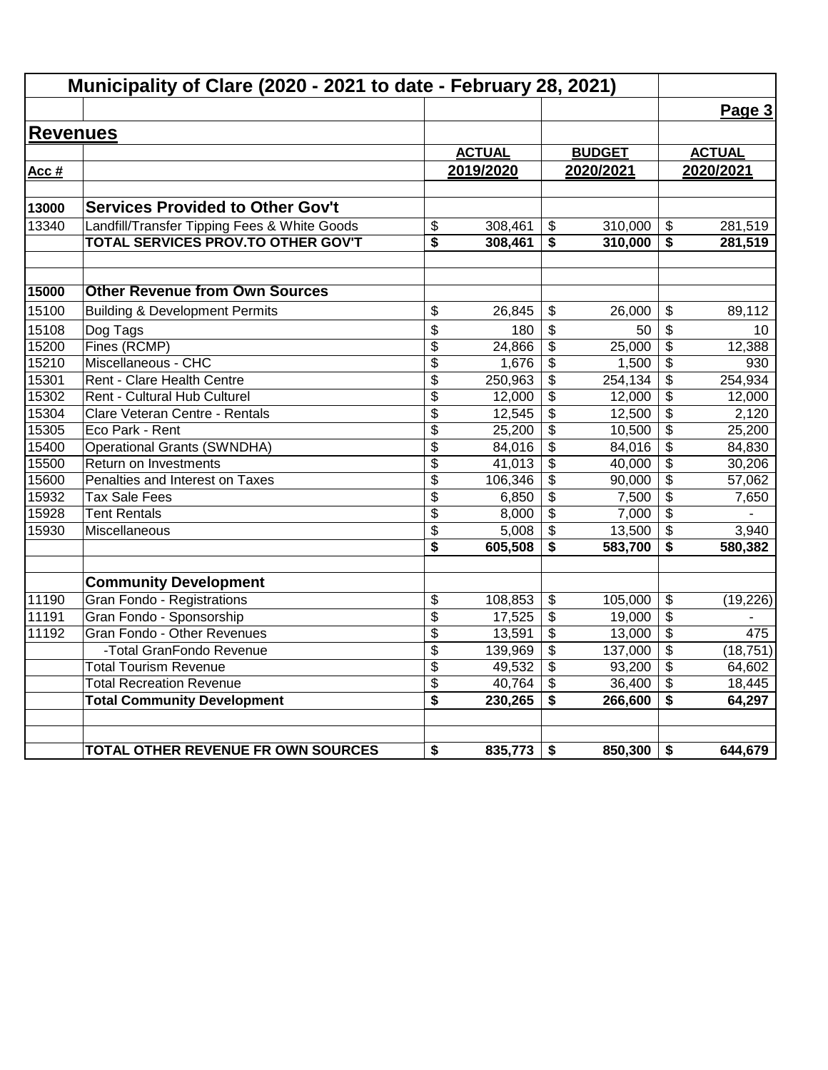|                 | Municipality of Clare (2020 - 2021 to date - February 28, 2021) |                 |               |                         |               |                                      |               |
|-----------------|-----------------------------------------------------------------|-----------------|---------------|-------------------------|---------------|--------------------------------------|---------------|
|                 |                                                                 |                 |               |                         |               |                                      | Page 3        |
| <b>Revenues</b> |                                                                 |                 |               |                         |               |                                      |               |
|                 |                                                                 |                 | <b>ACTUAL</b> |                         | <b>BUDGET</b> |                                      | <b>ACTUAL</b> |
| Acc #           |                                                                 |                 | 2019/2020     |                         | 2020/2021     |                                      | 2020/2021     |
|                 |                                                                 |                 |               |                         |               |                                      |               |
| 13000           | <b>Services Provided to Other Gov't</b>                         |                 |               |                         |               |                                      |               |
| 13340           | Landfill/Transfer Tipping Fees & White Goods                    | \$              | 308,461       | \$                      | 310,000       | \$                                   | 281,519       |
|                 | TOTAL SERVICES PROV.TO OTHER GOV'T                              | \$              | 308,461       | \$                      | 310,000       | \$                                   | 281,519       |
| 15000           | <b>Other Revenue from Own Sources</b>                           |                 |               |                         |               |                                      |               |
| 15100           | <b>Building &amp; Development Permits</b>                       | \$              | 26,845        | \$                      | 26.000        | \$                                   | 89,112        |
| 15108           | Dog Tags                                                        | \$              | 180           | \$                      | 50            | \$                                   | 10            |
| 15200           | Fines (RCMP)                                                    | \$              | 24,866        | \$                      | 25,000        | \$                                   | 12,388        |
| 15210           | Miscellaneous - CHC                                             | $\overline{\$}$ | 1,676         | \$                      | 1,500         | $\overline{\mathbf{S}}$              | 930           |
| 15301           | Rent - Clare Health Centre                                      | \$              | 250,963       | \$                      | 254, 134      | \$                                   | 254,934       |
| 15302           | Rent - Cultural Hub Culturel                                    | \$              | 12,000        | \$                      | 12,000        | \$                                   | 12,000        |
| 15304           | Clare Veteran Centre - Rentals                                  | \$              | 12,545        | $\overline{\mathbf{3}}$ | 12,500        | $\overline{\boldsymbol{\mathsf{s}}}$ | 2,120         |
| 15305           | Eco Park - Rent                                                 | \$              | 25,200        | \$                      | 10,500        | $\overline{\mathcal{S}}$             | 25,200        |
| 15400           | <b>Operational Grants (SWNDHA)</b>                              | \$              | 84,016        | \$                      | 84,016        | \$                                   | 84,830        |
| 15500           | Return on Investments                                           | $\overline{\$}$ | 41,013        | $\overline{\mathbf{3}}$ | 40,000        | $\overline{\boldsymbol{\mathsf{s}}}$ | 30,206        |
| 15600           | Penalties and Interest on Taxes                                 | \$              | 106,346       | \$                      | 90,000        | \$                                   | 57,062        |
| 15932           | <b>Tax Sale Fees</b>                                            | \$              | 6,850         | \$                      | 7,500         | $\frac{1}{2}$                        | 7,650         |
| 15928           | <b>Tent Rentals</b>                                             | \$              | 8,000         | \$                      | 7,000         | \$                                   |               |
| 15930           | Miscellaneous                                                   | \$              | 5,008         | $\overline{\mathbf{3}}$ | 13,500        | \$                                   | 3,940         |
|                 |                                                                 | \$              | 605,508       | \$                      | 583,700       | \$                                   | 580,382       |
|                 | <b>Community Development</b>                                    |                 |               |                         |               |                                      |               |
| 11190           | Gran Fondo - Registrations                                      | \$              | 108,853       | \$                      | 105,000       | \$                                   | (19, 226)     |
| 11191           | Gran Fondo - Sponsorship                                        | \$              | 17,525        | \$                      | 19,000        | $\frac{1}{2}$                        |               |
| 11192           | Gran Fondo - Other Revenues                                     | \$              | 13,591        | \$                      | 13,000        | \$                                   | 475           |
|                 | -Total GranFondo Revenue                                        | \$              | 139,969       | $\overline{\mathbf{e}}$ | 137,000       | \$                                   | (18, 751)     |
|                 | <b>Total Tourism Revenue</b>                                    | \$              | 49,532        | \$                      | 93,200        | \$                                   | 64,602        |
|                 | <b>Total Recreation Revenue</b>                                 | \$              | 40,764        | \$                      | 36,400        | $\overline{\mathbf{s}}$              | 18,445        |
|                 | <b>Total Community Development</b>                              | \$              | 230,265       | \$                      | 266,600       | \$                                   | 64,297        |
|                 |                                                                 |                 |               |                         |               |                                      |               |
|                 | TOTAL OTHER REVENUE FR OWN SOURCES                              | \$              | 835,773       | \$                      | 850,300       | \$                                   | 644,679       |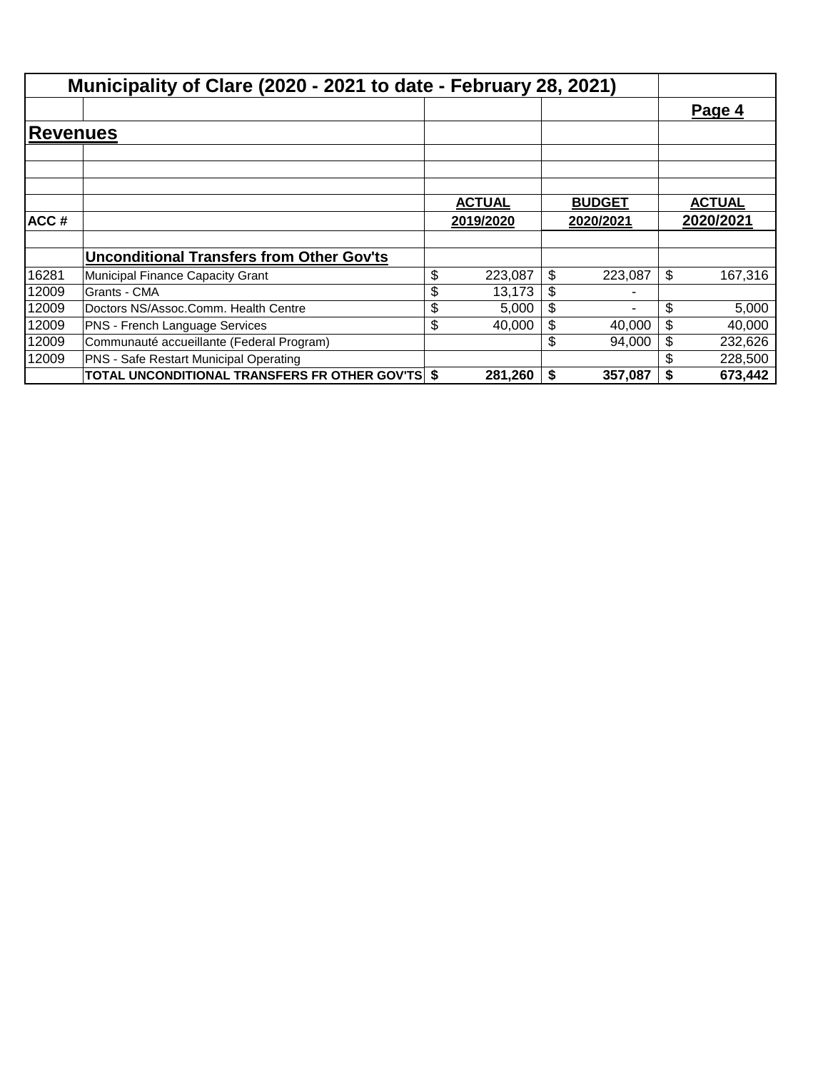|                        | Municipality of Clare (2020 - 2021 to date - February 28, 2021) |                                |    |           |               |
|------------------------|-----------------------------------------------------------------|--------------------------------|----|-----------|---------------|
|                        |                                                                 |                                |    |           | Page 4        |
| <b>Revenu<u>es</u></b> |                                                                 |                                |    |           |               |
|                        |                                                                 |                                |    |           |               |
|                        |                                                                 |                                |    |           |               |
|                        |                                                                 | <b>ACTUAL</b><br><b>BUDGET</b> |    |           | <b>ACTUAL</b> |
| ACC#                   |                                                                 | 2019/2020                      |    | 2020/2021 | 2020/2021     |
|                        |                                                                 |                                |    |           |               |
|                        | <b>Unconditional Transfers from Other Gov'ts</b>                |                                |    |           |               |
| 16281                  | Municipal Finance Capacity Grant                                | \$<br>223,087                  | \$ | 223,087   | \$<br>167,316 |
| 12009                  | Grants - CMA                                                    | \$<br>13,173                   | \$ |           |               |
| 12009                  | Doctors NS/Assoc.Comm. Health Centre                            | \$<br>5,000                    | \$ |           | \$<br>5,000   |
| 12009                  | PNS - French Language Services                                  | \$<br>40,000                   | \$ | 40,000    | \$<br>40,000  |
| 12009                  | Communauté accueillante (Federal Program)                       |                                | \$ | 94.000    | \$<br>232,626 |
| 12009                  | PNS - Safe Restart Municipal Operating                          |                                |    |           | 228,500       |
|                        | TOTAL UNCONDITIONAL TRANSFERS FR OTHER GOV'TS \$                | 281,260                        | S  | 357,087   | \$<br>673,442 |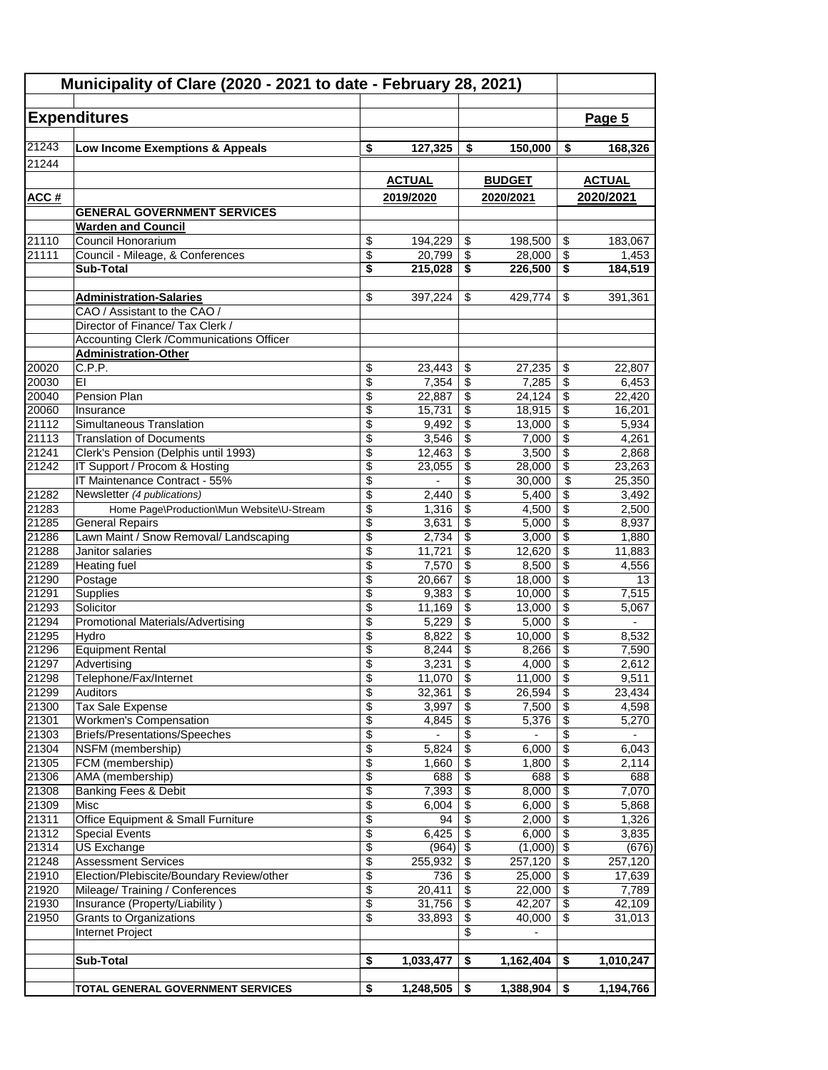| Municipality of Clare (2020 - 2021 to date - February 28, 2021) |                                            |                 |                 |                 |                 |                                            |                |
|-----------------------------------------------------------------|--------------------------------------------|-----------------|-----------------|-----------------|-----------------|--------------------------------------------|----------------|
|                                                                 |                                            |                 |                 |                 |                 |                                            |                |
|                                                                 | <b>Expenditures</b>                        |                 |                 |                 |                 |                                            | Page 5         |
| 21243                                                           | Low Income Exemptions & Appeals            | \$              | 127,325         | \$              | 150,000         | \$                                         | 168,326        |
| 21244                                                           |                                            |                 |                 |                 |                 |                                            |                |
|                                                                 |                                            |                 | <b>ACTUAL</b>   |                 | <b>BUDGET</b>   |                                            | <b>ACTUAL</b>  |
| <u>ACC#</u>                                                     |                                            |                 | 2019/2020       |                 | 2020/2021       |                                            | 2020/2021      |
|                                                                 | <b>GENERAL GOVERNMENT SERVICES</b>         |                 |                 |                 |                 |                                            |                |
|                                                                 | <b>Warden and Council</b>                  |                 |                 |                 |                 |                                            |                |
| 21110                                                           | Council Honorarium                         | \$              | 194,229         | \$              | 198,500         | \$                                         | 183,067        |
| 21111                                                           | Council - Mileage, & Conferences           | \$              | 20,799          | \$              | 28,000          | \$                                         | 1,453          |
|                                                                 | Sub-Total                                  | \$              | 215,028         | \$              | 226,500         | \$                                         | 184,519        |
|                                                                 |                                            |                 |                 |                 |                 |                                            |                |
|                                                                 | <b>Administration-Salaries</b>             | \$              | 397,224         | \$              | 429,774         | \$                                         | 391,361        |
|                                                                 | CAO / Assistant to the CAO /               |                 |                 |                 |                 |                                            |                |
|                                                                 | Director of Finance/ Tax Clerk /           |                 |                 |                 |                 |                                            |                |
|                                                                 | Accounting Clerk / Communications Officer  |                 |                 |                 |                 |                                            |                |
| 20020                                                           | <b>Administration-Other</b><br>C.P.P.      | \$              | 23,443          | \$              | 27,235          | \$                                         | 22,807         |
| 20030                                                           | EI                                         | \$              | 7,354           | \$              | 7,285           | \$                                         | 6,453          |
| 20040                                                           | Pension Plan                               | \$              | 22,887          | \$              | 24,124          | \$                                         | 22,420         |
| 20060                                                           | Insurance                                  | \$              | 15,731          | \$              | 18,915          | \$                                         | 16,201         |
| 21112                                                           | Simultaneous Translation                   | \$              | 9,492           | \$              | 13,000          | \$                                         | 5,934          |
| 21113                                                           | <b>Translation of Documents</b>            | \$              | 3,546           | \$              | 7,000           | \$                                         | 4,261          |
| 21241                                                           | Clerk's Pension (Delphis until 1993)       | \$              | 12,463          | \$              | 3,500           | $\overline{\$}$                            | 2,868          |
| 21242                                                           | IT Support / Procom & Hosting              | \$              | 23,055          | \$              | 28,000          | \$                                         | 23,263         |
|                                                                 | IT Maintenance Contract - 55%              | \$              |                 | \$              | 30,000          | \$                                         | 25,350         |
| 21282                                                           | Newsletter (4 publications)                | \$              | 2,440           | \$              | 5,400           | \$                                         | 3,492          |
| 21283                                                           | Home Page\Production\Mun Website\U-Stream  | \$              | 1,316           | \$              | 4,500           | $\overline{\mathbf{3}}$                    | 2,500          |
| 21285                                                           | <b>General Repairs</b>                     | \$              | 3,631           | \$              | 5,000           | $\overline{\$}$                            | 8,937          |
| 21286                                                           | Lawn Maint / Snow Removal/ Landscaping     | \$              | 2,734           | \$              | 3,000           | $\overline{\boldsymbol{\theta}}$           | 1,880          |
| 21288                                                           | Janitor salaries                           | $\overline{\$}$ | 11,721          | \$              | 12,620          | $\overline{\mathcal{L}}$                   | 11,883         |
| 21289                                                           | <b>Heating fuel</b>                        | \$              | 7,570           | \$              | 8,500           | $\overline{\boldsymbol{\mathsf{s}}}$       | 4,556          |
| 21290                                                           | Postage                                    | \$              | 20,667          | \$              | 18,000          | \$                                         | 13             |
| 21291                                                           | Supplies<br>Solicitor                      | \$<br>\$        | 9,383           | \$              | 10,000          | \$<br>$\boldsymbol{\mathsf{S}}$            | 7,515          |
| 21293<br>21294                                                  | <b>Promotional Materials/Advertising</b>   | \$              | 11,169<br>5,229 | \$<br>\$        | 13,000<br>5,000 | $\overline{\boldsymbol{\theta}}$           | 5,067          |
| 21295                                                           | Hydro                                      | \$              | 8,822           | \$              | 10,000          | \$                                         | 8,532          |
| 21296                                                           | <b>Equipment Rental</b>                    | \$              | 8,244           | \$              | 8,266           | \$                                         | 7,590          |
| 21297                                                           | Advertising                                | \$              | 3,231           | \$              | 4,000           | $\overline{\$}$                            | 2,612          |
| 21298                                                           | Telephone/Fax/Internet                     | \$              | $11,070$ \$     |                 | $11,000$ \$     |                                            | 9,511          |
| 21299                                                           | Auditors                                   | \$              | 32,361          | \$              | 26,594          | \$                                         | 23,434         |
| 21300                                                           | Tax Sale Expense                           | \$              | 3,997           | \$              | 7,500           | \$                                         | 4,598          |
| 21301                                                           | <b>Workmen's Compensation</b>              | $\overline{\$}$ | 4,845           | \$              | 5,376           | $\overline{\$}$                            | 5,270          |
| 21303                                                           | Briefs/Presentations/Speeches              | \$              |                 | \$              |                 | \$                                         |                |
| 21304                                                           | NSFM (membership)                          | \$              | 5.824           | \$              | 6,000           | $\sqrt{2}$                                 | 6,043          |
| 21305                                                           | FCM (membership)                           | \$              | 1,660           | \$              | 1,800           | \$                                         | 2,114          |
| 21306                                                           | AMA (membership)                           | \$              | 688             | \$              | 688             | $\overline{\boldsymbol{\mathfrak{s}}}$     | 688            |
| 21308                                                           | Banking Fees & Debit                       | \$              | 7,393           | \$              | 8,000           | $\overline{\boldsymbol{\mathfrak{s}}}$     | 7,070          |
| 21309<br>21311                                                  | Misc<br>Office Equipment & Small Furniture | \$<br>\$        | 6,004<br>94     | \$<br>\$        | 6,000<br>2,000  | $\overline{\mathbf{3}}$<br>$\overline{\$}$ | 5,868          |
| 21312                                                           | <b>Special Events</b>                      | \$              | 6,425           | $\overline{\$}$ | 6,000           | $\overline{\$}$                            | 1,326<br>3,835 |
| 21314                                                           | <b>US Exchange</b>                         | \$              | (964)           | \$              | (1,000)         | $\sqrt{2}$                                 | (676)          |
| 21248                                                           | <b>Assessment Services</b>                 | \$              | 255,932         | \$              | 257,120         | $\boldsymbol{\mathsf{S}}$                  | 257,120        |
| 21910                                                           | Election/Plebiscite/Boundary Review/other  | \$              | 736             | \$              | 25,000          | \$                                         | 17,639         |
| 21920                                                           | Mileage/Training / Conferences             | \$              | 20,411          | \$              | 22,000          | $\overline{\$}$                            | 7,789          |
| 21930                                                           | Insurance (Property/Liability)             | $\overline{\$}$ | 31,756          | \$              | 42,207          | $\sqrt[6]{\frac{1}{2}}$                    | 42,109         |
| 21950                                                           | Grants to Organizations                    | \$              | 33,893          | \$              | 40,000          | \$                                         | 31,013         |
|                                                                 | Internet Project                           |                 |                 | \$              | $\blacksquare$  |                                            |                |
|                                                                 |                                            |                 |                 |                 |                 |                                            |                |
|                                                                 | <b>Sub-Total</b>                           | \$              | 1,033,477       | \$              | 1,162,404       | \$                                         | 1,010,247      |
|                                                                 |                                            |                 |                 |                 |                 |                                            |                |
|                                                                 | TOTAL GENERAL GOVERNMENT SERVICES          | \$              | 1,248,505       | \$              | 1,388,904       | \$                                         | 1,194,766      |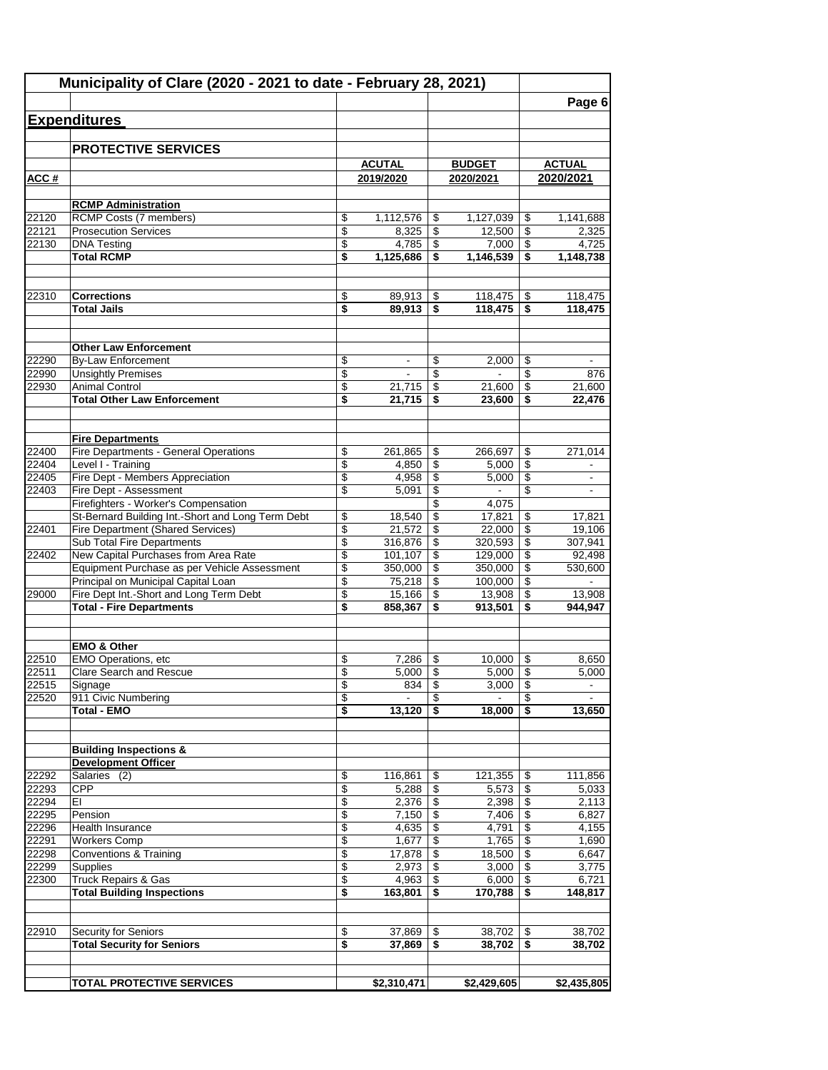|                | Municipality of Clare (2020 - 2021 to date - February 28, 2021)    |          |                       |                                |                                   |                          |                          |
|----------------|--------------------------------------------------------------------|----------|-----------------------|--------------------------------|-----------------------------------|--------------------------|--------------------------|
|                |                                                                    |          |                       |                                |                                   |                          | Page 6                   |
|                | <b>Expenditures</b>                                                |          |                       |                                |                                   |                          |                          |
|                |                                                                    |          |                       |                                |                                   |                          |                          |
|                | <b>PROTECTIVE SERVICES</b>                                         |          |                       |                                |                                   |                          |                          |
|                |                                                                    |          | <b>ACUTAL</b>         |                                | <b>BUDGET</b>                     |                          | <b>ACTUAL</b>            |
| ACC#           |                                                                    |          | 2019/2020             |                                | 2020/2021                         |                          | 2020/2021                |
|                | <b>RCMP Administration</b>                                         |          |                       |                                |                                   |                          |                          |
| 22120          | RCMP Costs (7 members)                                             | \$       | 1,112,576             | \$                             | 1,127,039                         | \$                       | 1,141,688                |
| 22121          | <b>Prosecution Services</b>                                        | \$       | 8,325                 | \$                             | 12,500                            | \$                       | 2,325                    |
| 22130          | <b>DNA Testing</b>                                                 | \$       | 4.785                 | \$                             | 7,000                             | \$                       | 4,725                    |
|                | <b>Total RCMP</b>                                                  | \$       | 1,125,686             | \$                             | 1,146,539                         | \$                       | 1,148,738                |
| 22310          | <b>Corrections</b>                                                 | \$       | 89,913                | \$                             | 118,475                           | \$                       | 118,475                  |
|                | <b>Total Jails</b>                                                 | \$       | 89,913                | \$                             | 118,475                           | \$                       | 118,475                  |
|                |                                                                    |          |                       |                                |                                   |                          |                          |
|                | <b>Other Law Enforcement</b>                                       |          |                       |                                |                                   |                          |                          |
| 22290          | <b>By-Law Enforcement</b>                                          | \$       | ۰                     | \$                             | 2,000                             | \$                       |                          |
| 22990          | <b>Unsightly Premises</b>                                          | \$       | $\blacksquare$        | \$                             | $\sim$                            | \$                       | 876                      |
| 22930          | <b>Animal Control</b>                                              | \$       | 21,715                | \$                             | 21,600                            | \$                       | 21,600                   |
|                | <b>Total Other Law Enforcement</b>                                 | \$       | 21,715                | \$                             | 23,600                            | \$                       | 22,476                   |
|                |                                                                    |          |                       |                                |                                   |                          |                          |
| 22400          | <b>Fire Departments</b><br>Fire Departments - General Operations   | \$       | 261,865               | \$                             | 266,697                           | \$                       | 271,014                  |
| 22404          | Level I - Training                                                 | \$       | 4,850                 | \$                             | 5,000                             | \$                       |                          |
| 22405          | Fire Dept - Members Appreciation                                   | \$       | 4,958                 | \$                             | 5,000                             | \$                       |                          |
| 22403          | Fire Dept - Assessment                                             | \$       | 5,091                 | \$                             |                                   | \$                       | $\blacksquare$           |
|                | Firefighters - Worker's Compensation                               |          |                       | \$                             | 4,075                             |                          |                          |
|                | St-Bernard Building Int.-Short and Long Term Debt                  | \$       | 18,540                | \$                             | 17,821                            | \$                       | 17,821                   |
| 22401          | Fire Department (Shared Services)                                  | \$       | 21,572                | \$                             | 22,000                            | \$                       | 19,106                   |
| 22402          | Sub Total Fire Departments<br>New Capital Purchases from Area Rate | \$<br>\$ | 316,876<br>101,107    | \$<br>$\overline{\mathcal{S}}$ | 320,593<br>129,000                | \$<br>\$                 | 307,941<br>92,498        |
|                | Equipment Purchase as per Vehicle Assessment                       | \$       | 350,000               | \$                             | 350,000                           | \$                       | 530,600                  |
|                | Principal on Municipal Capital Loan                                | \$       | 75,218                | \$                             | 100,000                           | \$                       |                          |
| 29000          | Fire Dept Int.-Short and Long Term Debt                            | \$       | 15,166                | \$                             | 13,908                            | $\overline{\mathcal{S}}$ | 13,908                   |
|                | <b>Total - Fire Departments</b>                                    | \$       | 858,367               | \$                             | 913,501                           | \$                       | 944,947                  |
|                |                                                                    |          |                       |                                |                                   |                          |                          |
|                | <b>EMO &amp; Other</b>                                             |          |                       |                                |                                   |                          |                          |
| 22510          | EMO Operations, etc                                                | \$       | 7,286                 | \$                             | 10.000                            | \$                       | 8,650                    |
| 22511          | <b>Clare Search and Rescue</b>                                     | \$       | 5,000                 | \$                             | 5,000                             | \$                       | 5,000                    |
| 22515<br>22520 | Signage<br>911 Civic Numbering                                     | \$<br>\$ | 834<br>$\overline{a}$ | \$<br>\$                       | 3,000<br>$\overline{\phantom{a}}$ | \$<br>\$                 | $\overline{\phantom{a}}$ |
|                | <b>Total - EMO</b>                                                 | \$       | 13,120                | \$                             | 18,000                            | \$                       | 13,650                   |
|                |                                                                    |          |                       |                                |                                   |                          |                          |
|                | <b>Building Inspections &amp;</b>                                  |          |                       |                                |                                   |                          |                          |
|                | <b>Development Officer</b>                                         |          |                       |                                |                                   |                          |                          |
| 22292          | Salaries (2)                                                       | \$       | 116,861               | \$                             | 121,355                           | \$                       | 111,856                  |
| 22293          | <b>CPP</b>                                                         | \$       | 5,288                 | \$                             | 5,573                             | \$                       | 5,033                    |
| 22294          | EI                                                                 | \$       | 2,376                 | \$                             | 2,398                             | \$                       | 2,113                    |
| 22295<br>22296 | Pension<br>Health Insurance                                        | \$<br>\$ | 7,150<br>4,635        | \$<br>\$                       | 7,406<br>4,791                    | \$<br>\$                 | 6,827<br>4,155           |
| 22291          | <b>Workers Comp</b>                                                | \$       | 1,677                 | \$                             | 1,765                             | \$                       | 1,690                    |
| 22298          | <b>Conventions &amp; Training</b>                                  | \$       | 17,878                | \$                             | 18,500                            | \$                       | 6,647                    |
| 22299          | <b>Supplies</b>                                                    | \$       | 2,973                 | \$                             | 3,000                             | \$                       | 3,775                    |
| 22300          | <b>Truck Repairs &amp; Gas</b>                                     | \$       | 4,963                 | \$                             | 6,000                             | \$                       | 6,721                    |
|                | <b>Total Building Inspections</b>                                  | \$       | 163,801               | \$                             | 170,788                           | \$                       | 148,817                  |
|                |                                                                    |          |                       |                                |                                   |                          |                          |
| 22910          | Security for Seniors                                               | \$       | 37,869                | \$                             | 38,702                            | \$                       | 38,702                   |
|                | <b>Total Security for Seniors</b>                                  | \$       | 37,869                | \$                             | 38,702                            | \$                       | 38,702                   |
|                |                                                                    |          |                       |                                |                                   |                          |                          |
|                | <b>TOTAL PROTECTIVE SERVICES</b>                                   |          | \$2,310,471           |                                | \$2,429,605                       |                          | \$2,435,805              |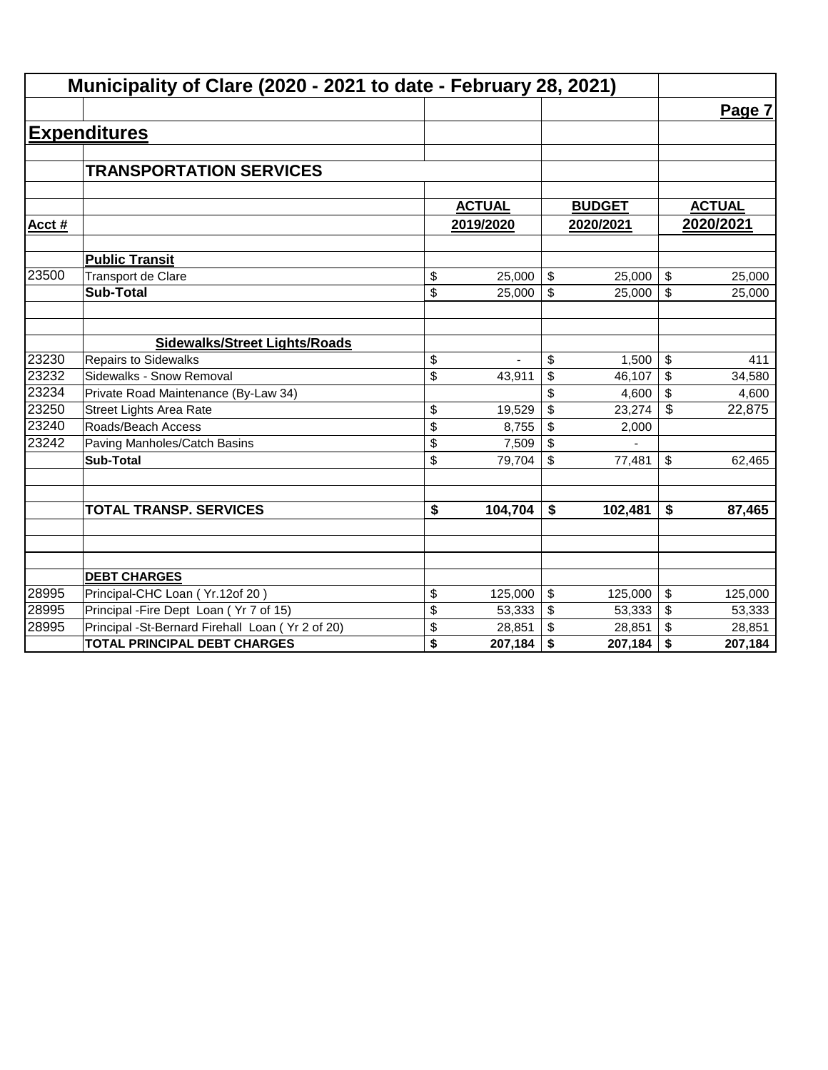|        | Municipality of Clare (2020 - 2021 to date - February 28, 2021) |               |              |               |            |               |
|--------|-----------------------------------------------------------------|---------------|--------------|---------------|------------|---------------|
|        |                                                                 |               |              |               |            | Page 7        |
|        | <b>Expenditures</b>                                             |               |              |               |            |               |
|        |                                                                 |               |              |               |            |               |
|        | <b>TRANSPORTATION SERVICES</b>                                  |               |              |               |            |               |
|        |                                                                 |               |              |               |            |               |
|        |                                                                 | <b>ACTUAL</b> |              | <b>BUDGET</b> |            | <b>ACTUAL</b> |
| Acct # |                                                                 | 2019/2020     |              | 2020/2021     |            | 2020/2021     |
|        | <b>Public Transit</b>                                           |               |              |               |            |               |
| 23500  | Transport de Clare                                              | \$<br>25,000  | \$           | 25,000        | \$         | 25,000        |
|        | <b>Sub-Total</b>                                                | \$<br>25,000  | $\mathbb{S}$ | 25,000        | \$         | 25,000        |
|        |                                                                 |               |              |               |            |               |
|        | <b>Sidewalks/Street Lights/Roads</b>                            |               |              |               |            |               |
| 23230  | <b>Repairs to Sidewalks</b>                                     | \$            | \$           | 1,500         | \$         | 411           |
| 23232  | Sidewalks - Snow Removal                                        | \$<br>43,911  | \$           | 46,107        | \$         | 34,580        |
| 23234  | Private Road Maintenance (By-Law 34)                            |               | \$           | 4,600         | \$         | 4,600         |
| 23250  | <b>Street Lights Area Rate</b>                                  | \$<br>19,529  | \$           | 23,274        | $\sqrt{3}$ | 22,875        |
| 23240  | Roads/Beach Access                                              | \$<br>8,755   | \$           | 2,000         |            |               |
| 23242  | Paving Manholes/Catch Basins                                    | \$<br>7,509   | \$           |               |            |               |
|        | <b>Sub-Total</b>                                                | \$<br>79,704  | \$           | 77,481        | \$         | 62,465        |
|        |                                                                 |               |              |               |            |               |
|        | <b>TOTAL TRANSP. SERVICES</b>                                   | \$<br>104,704 | \$           | 102,481       | \$         | 87,465        |
|        |                                                                 |               |              |               |            |               |
|        |                                                                 |               |              |               |            |               |
|        | <b>DEBT CHARGES</b>                                             |               |              |               |            |               |
| 28995  | Principal-CHC Loan (Yr.12of 20)                                 | \$<br>125,000 | \$           | 125,000       | \$         | 125,000       |
| 28995  | Principal - Fire Dept Loan (Yr 7 of 15)                         | \$<br>53,333  | \$           | 53,333        | \$         | 53,333        |
| 28995  | Principal -St-Bernard Firehall Loan (Yr 2 of 20)                | \$<br>28,851  | \$           | 28,851        | \$         | 28,851        |
|        | <b>TOTAL PRINCIPAL DEBT CHARGES</b>                             | \$<br>207,184 | \$           | 207,184       | \$         | 207,184       |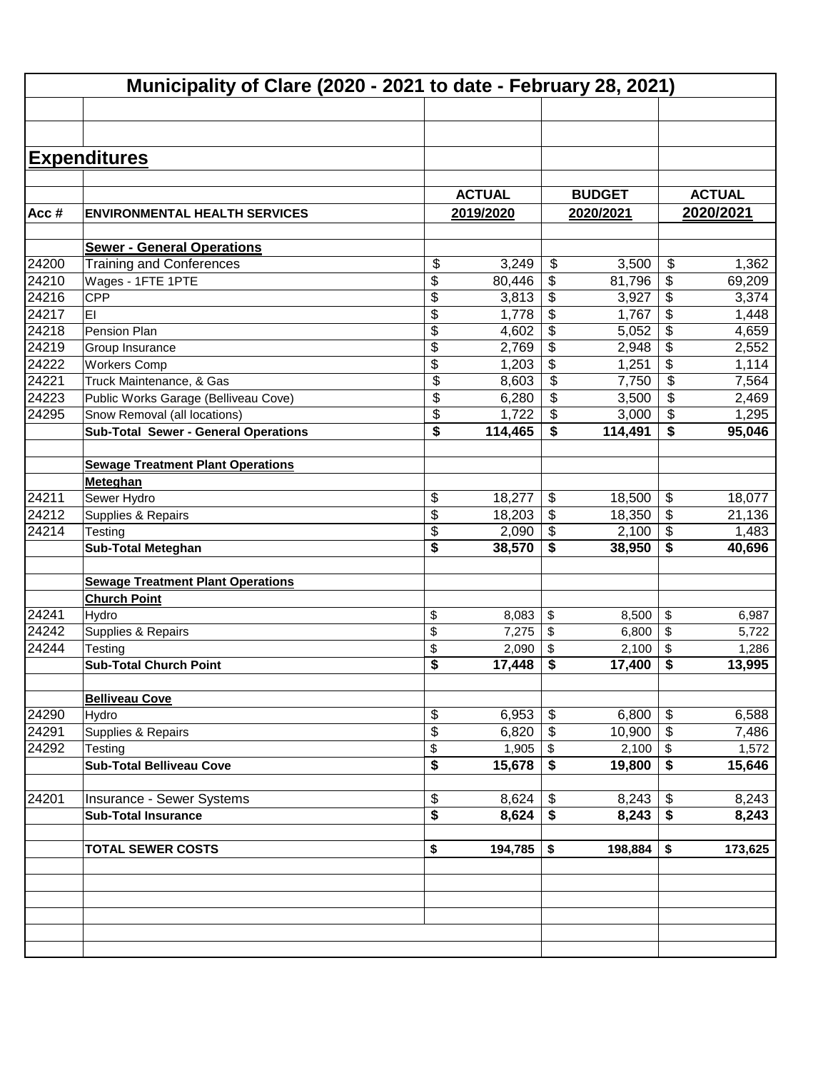|                | Municipality of Clare (2020 - 2021 to date - February 28, 2021) |                          |               |                                      |               |                                        |         |  |  |  |  |
|----------------|-----------------------------------------------------------------|--------------------------|---------------|--------------------------------------|---------------|----------------------------------------|---------|--|--|--|--|
|                |                                                                 |                          |               |                                      |               |                                        |         |  |  |  |  |
|                | <b>Expenditures</b>                                             |                          |               |                                      |               |                                        |         |  |  |  |  |
|                |                                                                 |                          |               |                                      |               |                                        |         |  |  |  |  |
|                |                                                                 |                          | <b>ACTUAL</b> |                                      | <b>BUDGET</b> |                                        |         |  |  |  |  |
|                |                                                                 |                          |               |                                      |               | <b>ACTUAL</b><br>2020/2021             |         |  |  |  |  |
| Acc#           | <b>ENVIRONMENTAL HEALTH SERVICES</b>                            |                          | 2019/2020     |                                      | 2020/2021     |                                        |         |  |  |  |  |
|                | <b>Sewer - General Operations</b>                               |                          |               |                                      |               |                                        |         |  |  |  |  |
| 24200          | <b>Training and Conferences</b>                                 | \$                       | 3,249         | \$                                   | 3,500         | $\boldsymbol{\mathsf{S}}$              | 1,362   |  |  |  |  |
| 24210          | Wages - 1FTE 1PTE                                               | \$                       | 80,446        | \$                                   | 81,796        | \$                                     | 69,209  |  |  |  |  |
| 24216          | CPP                                                             | \$                       | 3,813         | \$                                   | 3,927         | \$                                     | 3,374   |  |  |  |  |
| 24217          | EI                                                              | \$                       | 1,778         | \$                                   | 1,767         | \$                                     | 1,448   |  |  |  |  |
| 24218          | Pension Plan                                                    | \$                       | 4,602         | \$                                   | 5,052         | \$                                     | 4,659   |  |  |  |  |
| 24219          | Group Insurance                                                 | \$                       | 2,769         | \$                                   | 2,948         | \$                                     | 2,552   |  |  |  |  |
| 24222          | <b>Workers Comp</b>                                             | \$                       | 1,203         | \$                                   | 1,251         | \$                                     | 1,114   |  |  |  |  |
| 24221          | Truck Maintenance, & Gas                                        | \$                       | 8,603         | \$                                   | 7,750         | \$                                     | 7,564   |  |  |  |  |
| 24223          | Public Works Garage (Belliveau Cove)                            | $\overline{\mathcal{S}}$ | 6,280         | \$                                   | 3,500         | \$                                     | 2,469   |  |  |  |  |
| 24295          | Snow Removal (all locations)                                    | \$                       | 1,722         | \$                                   | 3,000         | \$                                     | 1,295   |  |  |  |  |
|                | <b>Sub-Total Sewer - General Operations</b>                     | \$                       | 114,465       | \$                                   | 114,491       | \$                                     | 95,046  |  |  |  |  |
|                |                                                                 |                          |               |                                      |               |                                        |         |  |  |  |  |
|                | <b>Sewage Treatment Plant Operations</b>                        |                          |               |                                      |               |                                        |         |  |  |  |  |
|                | Meteghan                                                        |                          |               |                                      |               |                                        |         |  |  |  |  |
| 24211          | Sewer Hydro                                                     | \$                       | 18,277        | \$                                   | 18,500        | \$                                     | 18,077  |  |  |  |  |
| 24212          | Supplies & Repairs                                              | \$                       | 18,203        | \$                                   | 18,350        | $\boldsymbol{\mathsf{s}}$              | 21,136  |  |  |  |  |
| $\sqrt{24214}$ | Testing                                                         | \$                       | 2,090         | \$                                   | 2,100         | $\boldsymbol{\mathsf{S}}$              | 1,483   |  |  |  |  |
|                | <b>Sub-Total Meteghan</b>                                       | \$                       | 38,570        | \$                                   | 38,950        | \$                                     | 40,696  |  |  |  |  |
|                |                                                                 |                          |               |                                      |               |                                        |         |  |  |  |  |
|                | <b>Sewage Treatment Plant Operations</b>                        |                          |               |                                      |               |                                        |         |  |  |  |  |
|                | <b>Church Point</b>                                             |                          |               |                                      |               |                                        |         |  |  |  |  |
| 24241          | Hydro                                                           | \$                       | 8,083         | \$                                   | 8,500         | \$                                     | 6,987   |  |  |  |  |
| 24242          | Supplies & Repairs                                              | \$                       | 7,275         | \$                                   | 6,800         | \$                                     | 5,722   |  |  |  |  |
| 24244          | Testing                                                         | \$                       | 2,090         | \$                                   | 2,100         | \$                                     | 1,286   |  |  |  |  |
|                | <b>Sub-Total Church Point</b>                                   | \$                       | 17.448        | \$                                   | 17,400        | \$                                     | 13,995  |  |  |  |  |
|                |                                                                 |                          |               |                                      |               |                                        |         |  |  |  |  |
|                | <b>Belliveau Cove</b>                                           |                          |               |                                      |               |                                        |         |  |  |  |  |
| 24290          | Hydro                                                           | \$                       | 6,953         | \$                                   | 6,800         | \$                                     | 6,588   |  |  |  |  |
| 24291          | Supplies & Repairs                                              | \$                       | 6,820         | \$                                   | 10,900        | $\boldsymbol{\mathsf{S}}$              | 7,486   |  |  |  |  |
| 24292          | Testing                                                         | \$                       | 1,905         | \$                                   | 2,100         | $\sqrt[6]{3}$                          | 1,572   |  |  |  |  |
|                | <b>Sub-Total Belliveau Cove</b>                                 | \$                       | 15,678        | $\overline{\boldsymbol{\mathsf{s}}}$ | 19,800        | $\overline{\boldsymbol{\mathfrak{s}}}$ | 15,646  |  |  |  |  |
|                |                                                                 |                          |               |                                      |               |                                        |         |  |  |  |  |
| 24201          | Insurance - Sewer Systems                                       | \$                       | 8,624         | \$                                   | 8,243         | \$                                     | 8,243   |  |  |  |  |
|                | <b>Sub-Total Insurance</b>                                      | \$                       | 8,624         | $\overline{\boldsymbol{\mathsf{s}}}$ | 8,243         | $\overline{\bullet}$                   | 8,243   |  |  |  |  |
|                |                                                                 |                          |               |                                      |               |                                        |         |  |  |  |  |
|                | <b>TOTAL SEWER COSTS</b>                                        | \$                       | 194,785       | \$                                   | 198,884       | \$                                     | 173,625 |  |  |  |  |
|                |                                                                 |                          |               |                                      |               |                                        |         |  |  |  |  |
|                |                                                                 |                          |               |                                      |               |                                        |         |  |  |  |  |
|                |                                                                 |                          |               |                                      |               |                                        |         |  |  |  |  |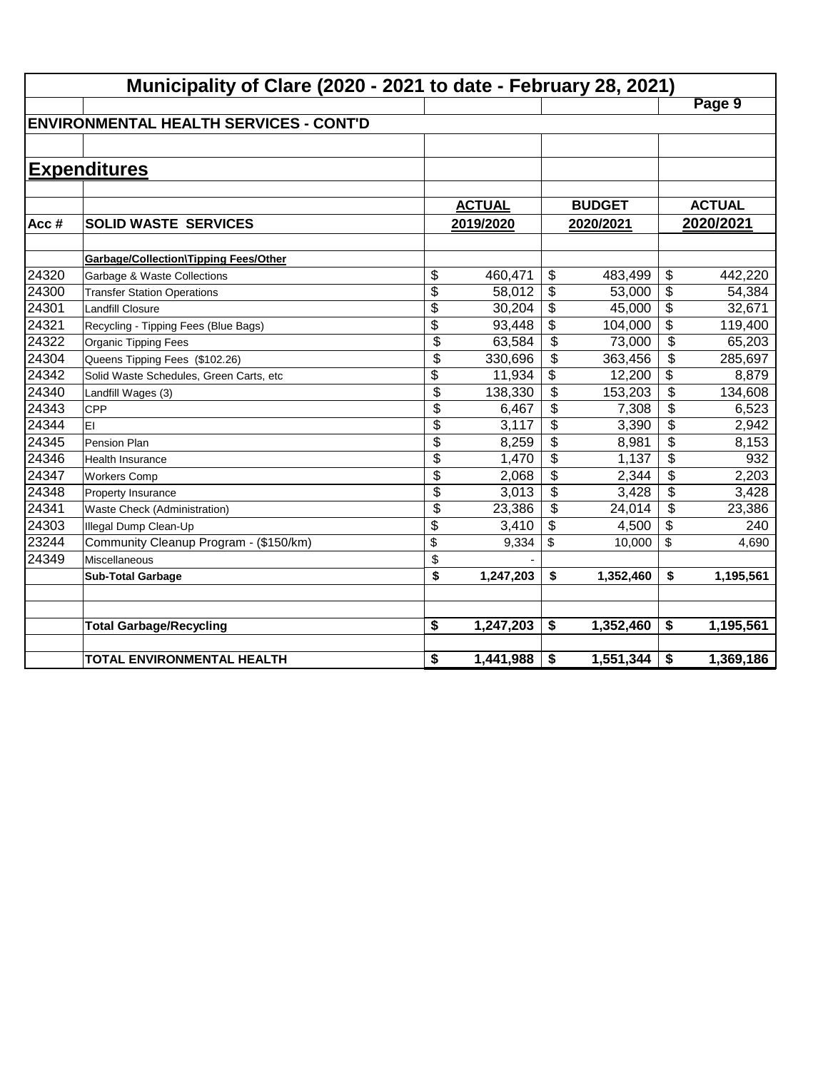|       | Municipality of Clare (2020 - 2021 to date - February 28, 2021) |                 |               |                          |           |                         |               |
|-------|-----------------------------------------------------------------|-----------------|---------------|--------------------------|-----------|-------------------------|---------------|
|       |                                                                 |                 |               |                          |           |                         | Page 9        |
|       | <b>IENVIRONMENTAL HEALTH SERVICES - CONT'D</b>                  |                 |               |                          |           |                         |               |
|       |                                                                 |                 |               |                          |           |                         |               |
|       | <b>Expenditures</b>                                             |                 |               |                          |           |                         |               |
|       |                                                                 |                 | <b>ACTUAL</b> | <b>BUDGET</b>            |           |                         | <b>ACTUAL</b> |
| Acc#  | <b>SOLID WASTE SERVICES</b>                                     |                 | 2019/2020     |                          | 2020/2021 |                         | 2020/2021     |
|       | <b>Garbage/Collection\Tipping Fees/Other</b>                    |                 |               |                          |           |                         |               |
| 24320 | Garbage & Waste Collections                                     | \$              | 460,471       | \$                       | 483,499   | \$                      | 442,220       |
| 24300 | <b>Transfer Station Operations</b>                              | \$              | 58,012        | \$                       | 53,000    | \$                      | 54,384        |
| 24301 | <b>Landfill Closure</b>                                         | $\overline{\$}$ | 30,204        | \$                       | 45,000    | \$                      | 32,671        |
| 24321 | Recycling - Tipping Fees (Blue Bags)                            | $\overline{\$}$ | 93,448        | \$                       | 104,000   | \$                      | 119,400       |
| 24322 | <b>Organic Tipping Fees</b>                                     | \$              | 63,584        | \$                       | 73,000    | $\overline{\$}$         | 65,203        |
| 24304 | Queens Tipping Fees (\$102.26)                                  | \$              | 330,696       | \$                       | 363,456   | \$                      | 285,697       |
| 24342 | Solid Waste Schedules, Green Carts, etc                         | \$              | 11,934        | \$                       | 12,200    | \$                      | 8,879         |
| 24340 | Landfill Wages (3)                                              | \$              | 138,330       | $\overline{\mathcal{L}}$ | 153,203   | $\overline{\$}$         | 134,608       |
| 24343 | <b>CPP</b>                                                      | \$              | 6,467         | \$                       | 7,308     | $\overline{\$}$         | 6,523         |
| 24344 | EI                                                              | \$              | 3,117         | \$                       | 3,390     | $\overline{\$}$         | 2,942         |
| 24345 | Pension Plan                                                    | \$              | 8,259         | \$                       | 8,981     | $\overline{\$}$         | 8,153         |
| 24346 | <b>Health Insurance</b>                                         | \$              | 1,470         | \$                       | 1,137     | $\overline{\mathbf{S}}$ | 932           |
| 24347 | <b>Workers Comp</b>                                             | \$              | 2,068         | \$                       | 2,344     | \$                      | 2,203         |
| 24348 | Property Insurance                                              | \$              | 3,013         | \$                       | 3,428     | \$                      | 3,428         |
| 24341 | Waste Check (Administration)                                    | \$              | 23,386        | \$                       | 24,014    | \$                      | 23,386        |
| 24303 | Illegal Dump Clean-Up                                           | \$              | 3,410         | \$                       | 4,500     | \$                      | 240           |
| 23244 | Community Cleanup Program - (\$150/km)                          | \$              | 9,334         | \$                       | 10,000    | \$                      | 4,690         |
| 24349 | Miscellaneous                                                   | \$              |               |                          |           |                         |               |
|       | <b>Sub-Total Garbage</b>                                        | \$              | 1,247,203     | \$                       | 1,352,460 | \$                      | 1,195,561     |
|       | <b>Total Garbage/Recycling</b>                                  | \$              | 1,247,203     | \$                       | 1,352,460 | \$                      | 1,195,561     |
|       | <b>TOTAL ENVIRONMENTAL HEALTH</b>                               | \$              | 1,441,988     | \$                       | 1,551,344 | \$                      | 1,369,186     |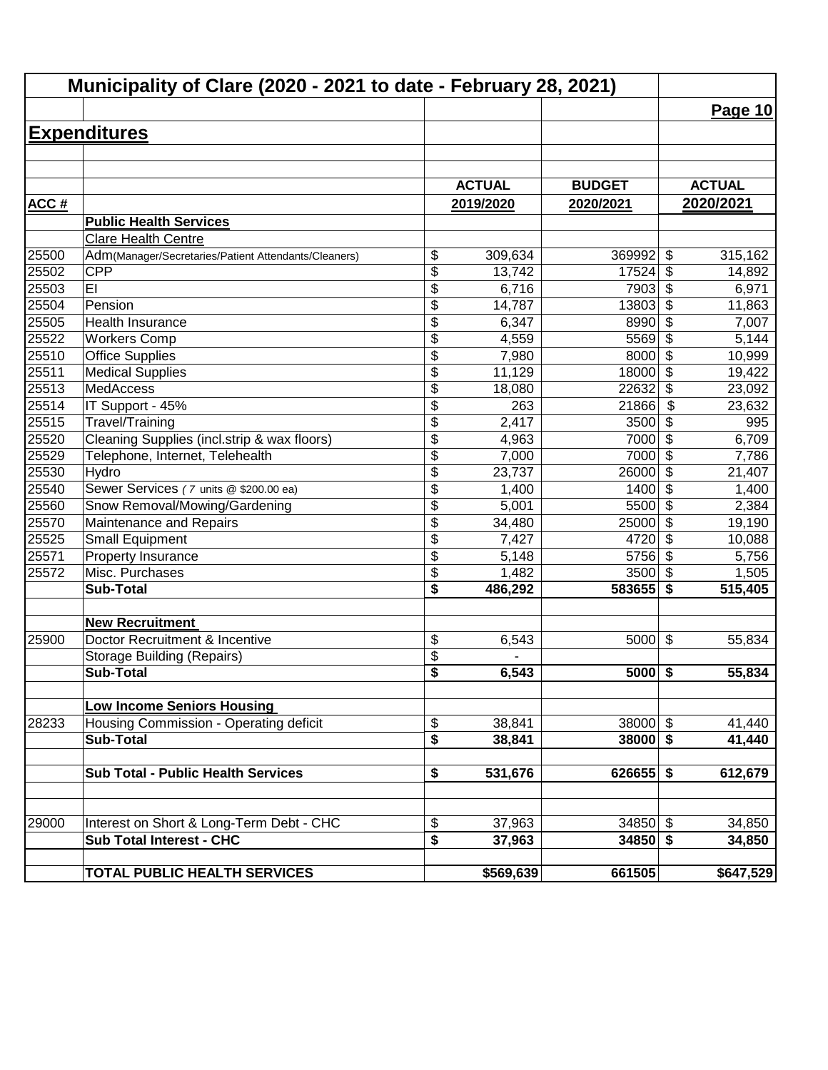|       | Municipality of Clare (2020 - 2021 to date - February 28, 2021) |                 |               |               |                                  |               |
|-------|-----------------------------------------------------------------|-----------------|---------------|---------------|----------------------------------|---------------|
|       |                                                                 |                 |               |               |                                  | Page $10$     |
|       | <b>Expenditures</b>                                             |                 |               |               |                                  |               |
|       |                                                                 |                 |               |               |                                  |               |
|       |                                                                 |                 |               |               |                                  |               |
|       |                                                                 |                 | <b>ACTUAL</b> | <b>BUDGET</b> |                                  | <b>ACTUAL</b> |
| ACC#  |                                                                 |                 | 2019/2020     | 2020/2021     |                                  | 2020/2021     |
|       | <b>Public Health Services</b>                                   |                 |               |               |                                  |               |
|       | Clare Health Centre                                             |                 |               |               |                                  |               |
| 25500 | Adm(Manager/Secretaries/Patient Attendants/Cleaners)            | \$              | 309,634       | 369992        | \$                               | 315,162       |
| 25502 | <b>CPP</b>                                                      | \$              | 13,742        | 17524         | \$                               | 14,892        |
| 25503 | EI                                                              | \$              | 6,716         | 7903          | $\overline{\boldsymbol{\theta}}$ | 6,971         |
| 25504 | Pension                                                         | \$              | 14,787        | 13803         | $\overline{\$}$                  | 11,863        |
| 25505 | <b>Health Insurance</b>                                         | \$              | 6,347         | 8990          | $\overline{\$}$                  | 7,007         |
| 25522 | <b>Workers Comp</b>                                             | \$              | 4,559         | 5569          | $\overline{\boldsymbol{\theta}}$ | 5,144         |
| 25510 | <b>Office Supplies</b>                                          | \$              | 7,980         | 8000          | $\overline{\$}$                  | 10,999        |
| 25511 | <b>Medical Supplies</b>                                         | $\overline{\$}$ | 11,129        | 18000         | \$                               | 19,422        |
| 25513 | <b>MedAccess</b>                                                | \$              | 18,080        | 22632         | \$                               | 23,092        |
| 25514 | IT Support - 45%                                                | \$              | 263           | 21866         | \$                               | 23,632        |
| 25515 | Travel/Training                                                 | \$              | 2,417         | 3500          | \$                               | 995           |
| 25520 | Cleaning Supplies (incl.strip & wax floors)                     | $\overline{\$}$ | 4,963         | 7000          | $\boldsymbol{\mathsf{S}}$        | 6,709         |
| 25529 | Telephone, Internet, Telehealth                                 | \$              | 7,000         | 7000          | $\sqrt[6]{3}$                    | 7,786         |
| 25530 | Hydro                                                           | \$              | 23,737        | 26000         | $\overline{\mathcal{S}}$         | 21,407        |
| 25540 | Sewer Services (7 units @ \$200.00 ea)                          | \$              | 1,400         | 1400          | $\boldsymbol{\mathsf{s}}$        | 1,400         |
| 25560 | Snow Removal/Mowing/Gardening                                   | \$              | 5,001         | 5500          | \$                               | 2,384         |
| 25570 | Maintenance and Repairs                                         | \$              | 34,480        | 25000         | \$                               | 19,190        |
| 25525 | <b>Small Equipment</b>                                          | \$              | 7,427         | 4720          | \$                               | 10,088        |
| 25571 | Property Insurance                                              | \$              | 5,148         | 5756          | $\sqrt{3}$                       | 5,756         |
| 25572 | Misc. Purchases                                                 | \$              | 1,482         | 3500          | $\sqrt{3}$                       | 1,505         |
|       | <b>Sub-Total</b>                                                | \$              | 486,292       | $583655$ \$   |                                  | 515,405       |
|       | <b>New Recruitment</b>                                          |                 |               |               |                                  |               |
| 25900 | Doctor Recruitment & Incentive                                  | \$              | 6,543         | 5000          | $\frac{1}{2}$                    | 55,834        |
|       | <b>Storage Building (Repairs)</b>                               | \$              |               |               |                                  |               |
|       | <b>Sub-Total</b>                                                | \$              | 6,543         | $5000$ \$     |                                  | 55,834        |
|       |                                                                 |                 |               |               |                                  |               |
|       | <b>Low Income Seniors Housing</b>                               |                 |               |               |                                  |               |
| 28233 | Housing Commission - Operating deficit                          | \$              | 38,841        | $38000$ \$    |                                  | 41,440        |
|       | <b>Sub-Total</b>                                                | \$              | 38,841        | $38000$ \$    |                                  | 41,440        |
|       |                                                                 |                 |               |               |                                  |               |
|       | <b>Sub Total - Public Health Services</b>                       | \$              | 531,676       | $626655$ \$   |                                  | 612,679       |
|       |                                                                 |                 |               |               |                                  |               |
| 29000 | Interest on Short & Long-Term Debt - CHC                        | \$              | 37,963        | $34850$ \$    |                                  | 34,850        |
|       | <b>Sub Total Interest - CHC</b>                                 | \$              | 37,963        | $34850$ \$    |                                  | 34,850        |
|       | TOTAL PUBLIC HEALTH SERVICES                                    |                 | \$569,639     | 661505        |                                  | \$647,529     |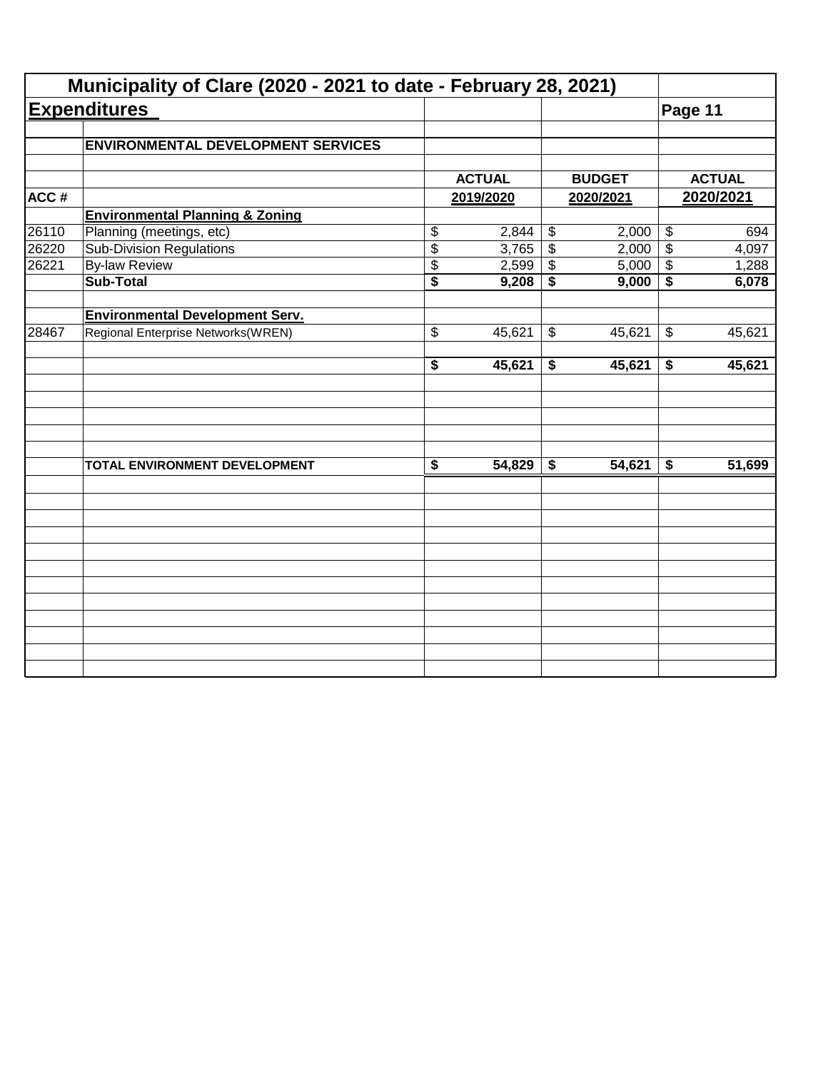|       | Municipality of Clare (2020 - 2021 to date - February 28, 2021) |                                      |               |                            |               |                            |               |
|-------|-----------------------------------------------------------------|--------------------------------------|---------------|----------------------------|---------------|----------------------------|---------------|
|       | <b>Expenditures</b>                                             |                                      |               |                            |               | Page 11                    |               |
|       | <b>ENVIRONMENTAL DEVELOPMENT SERVICES</b>                       |                                      |               |                            |               |                            |               |
|       |                                                                 |                                      | <b>ACTUAL</b> |                            | <b>BUDGET</b> |                            | <b>ACTUAL</b> |
| ACC#  |                                                                 |                                      | 2019/2020     |                            | 2020/2021     |                            | 2020/2021     |
|       | <b>Environmental Planning &amp; Zoning</b>                      |                                      |               |                            |               |                            |               |
| 26110 | Planning (meetings, etc)                                        | \$                                   | 2,844         | $\boldsymbol{\mathsf{\$}}$ | 2,000         | $\boldsymbol{\mathsf{\$}}$ | 694           |
| 26220 | <b>Sub-Division Regulations</b>                                 | $\overline{\$}$                      | 3,765         | $\overline{\mathcal{L}}$   | 2,000         | $\overline{\mathcal{S}}$   | 4,097         |
| 26221 | <b>By-law Review</b>                                            | \$                                   | 2,599         | \$                         | 5,000         | $\boldsymbol{\mathsf{\$}}$ | 1,288         |
|       | <b>Sub-Total</b>                                                | $\overline{\$}$                      | 9,208         | \$                         | 9,000         | \$                         | 6,078         |
|       | <b>Environmental Development Serv.</b>                          |                                      |               |                            |               |                            |               |
| 28467 | Regional Enterprise Networks(WREN)                              | \$                                   | 45,621        | \$                         | 45,621        | $\boldsymbol{\mathsf{\$}}$ | 45,621        |
|       |                                                                 | $\overline{\boldsymbol{s}}$          | 45,621        | \$                         | 45,621        | \$                         | 45,621        |
|       |                                                                 |                                      |               |                            |               |                            |               |
|       | TOTAL ENVIRONMENT DEVELOPMENT                                   | $\overline{\boldsymbol{\mathsf{s}}}$ | 54,829        | \$                         | 54,621        | \$                         | 51,699        |
|       |                                                                 |                                      |               |                            |               |                            |               |
|       |                                                                 |                                      |               |                            |               |                            |               |
|       |                                                                 |                                      |               |                            |               |                            |               |
|       |                                                                 |                                      |               |                            |               |                            |               |
|       |                                                                 |                                      |               |                            |               |                            |               |
|       |                                                                 |                                      |               |                            |               |                            |               |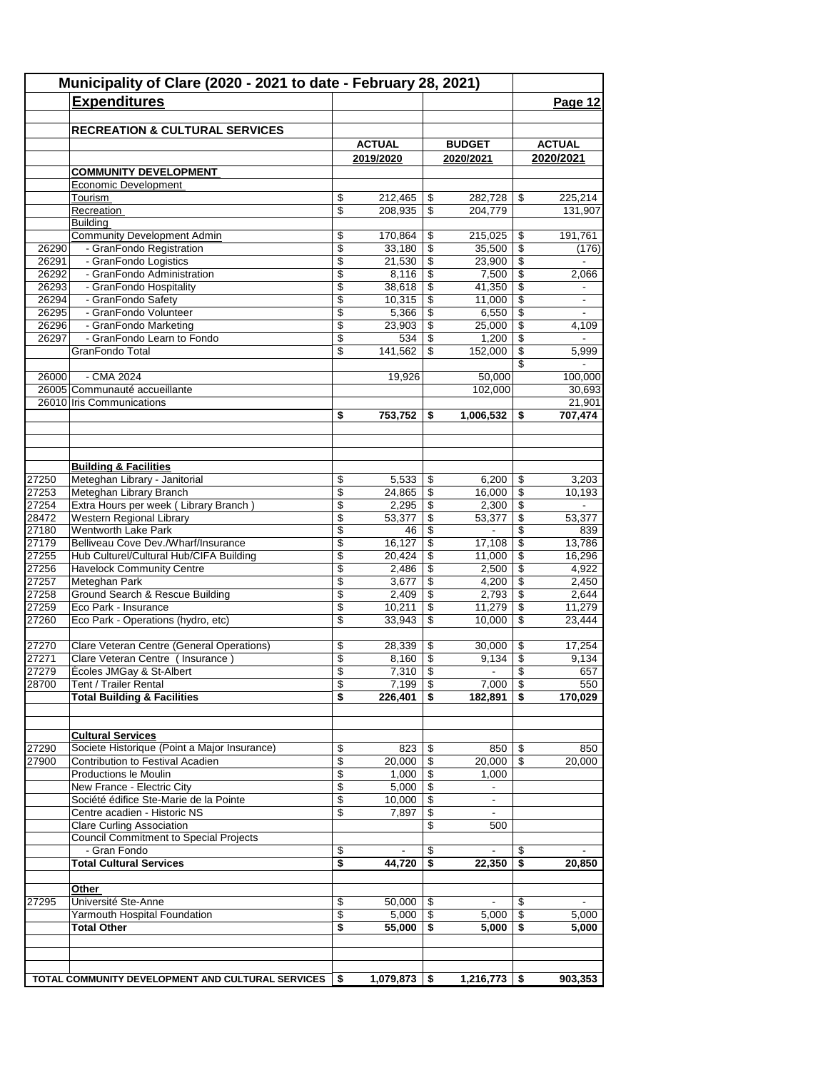| Municipality of Clare (2020 - 2021 to date - February 28, 2021) |                                                                             |                         |                            |                                |                                            |                       |                            |
|-----------------------------------------------------------------|-----------------------------------------------------------------------------|-------------------------|----------------------------|--------------------------------|--------------------------------------------|-----------------------|----------------------------|
|                                                                 | <b>Expenditures</b>                                                         |                         |                            |                                |                                            |                       | Page 12                    |
|                                                                 |                                                                             |                         |                            |                                |                                            |                       |                            |
|                                                                 | <b>RECREATION &amp; CULTURAL SERVICES</b>                                   |                         |                            |                                |                                            |                       |                            |
|                                                                 |                                                                             |                         | <b>ACTUAL</b><br>2019/2020 |                                | <b>BUDGET</b><br>2020/2021                 |                       | <b>ACTUAL</b><br>2020/2021 |
|                                                                 | <b>COMMUNITY DEVELOPMENT</b>                                                |                         |                            |                                |                                            |                       |                            |
|                                                                 | Economic Development                                                        |                         |                            |                                |                                            |                       |                            |
|                                                                 | Tourism                                                                     | \$                      | 212,465                    | \$                             | 282,728                                    | \$                    | 225,214                    |
|                                                                 | Recreation                                                                  | \$                      | 208,935                    | \$                             | 204,779                                    |                       | 131,907                    |
|                                                                 | <b>Building</b>                                                             |                         |                            |                                |                                            |                       |                            |
|                                                                 | <b>Community Development Admin</b>                                          | \$                      | 170,864                    | \$                             | 215,025                                    | \$                    | 191,761                    |
| 26290<br>26291                                                  | - GranFondo Registration<br>- GranFondo Logistics                           | \$<br>\$                | 33,180<br>21,530           | $\overline{\$}$<br>\$          | 35,500<br>23.900                           | $\overline{\$}$<br>\$ | (176)                      |
| 26292                                                           | - GranFondo Administration                                                  | \$                      | 8,116                      | \$                             | 7,500                                      | \$                    | 2,066                      |
| 26293                                                           | - GranFondo Hospitality                                                     | \$                      | 38,618                     | \$                             | 41,350                                     | \$                    | $\blacksquare$             |
| 26294                                                           | - GranFondo Safety                                                          | \$                      | 10,315                     | \$                             | 11,000                                     | \$                    | $\overline{\phantom{a}}$   |
| 26295                                                           | - GranFondo Volunteer                                                       | \$                      | 5,366                      | \$                             | 6,550                                      | \$                    | $\mathbf{r}$               |
| 26296                                                           | - GranFondo Marketing                                                       | \$                      | 23,903                     | \$                             | 25,000                                     | \$                    | 4,109                      |
| 26297                                                           | - GranFondo Learn to Fondo                                                  | $\overline{\mathbb{S}}$ | 534                        | $\overline{\mathcal{S}}$       | 1,200                                      | \$                    |                            |
|                                                                 | GranFondo Total                                                             | \$                      | 141.562                    | \$                             | 152,000                                    | \$                    | 5,999                      |
| 26000                                                           | $-CMA$ 2024                                                                 |                         | 19,926                     |                                | 50,000                                     | \$                    | 100,000                    |
|                                                                 | 26005 Communauté accueillante                                               |                         |                            |                                | 102,000                                    |                       | 30,693                     |
|                                                                 | 26010 Iris Communications                                                   |                         |                            |                                |                                            |                       | 21,901                     |
|                                                                 |                                                                             | \$                      | 753,752                    | \$                             | 1,006,532                                  | \$                    | 707,474                    |
|                                                                 |                                                                             |                         |                            |                                |                                            |                       |                            |
|                                                                 | <b>Building &amp; Facilities</b>                                            |                         |                            |                                |                                            |                       |                            |
| 27250                                                           | Meteghan Library - Janitorial                                               | \$                      | 5,533                      | \$                             | 6,200                                      | \$                    | 3,203                      |
| 27253                                                           | Meteghan Library Branch                                                     | \$                      | 24,865                     | \$                             | 16,000                                     | \$                    | 10,193                     |
| 27254                                                           | Extra Hours per week (Library Branch)                                       | \$                      | 2,295                      | \$                             | 2,300                                      | \$                    |                            |
| 28472                                                           | Western Regional Library                                                    | \$                      | 53,377                     | $\overline{\$}$                | 53,377                                     | \$                    | 53,377                     |
| 27180                                                           | <b>Wentworth Lake Park</b>                                                  | \$                      | 46                         | $\mathsf{\$}$                  | $\blacksquare$                             | \$                    | 839                        |
| 27179                                                           | Belliveau Cove Dev./Wharf/Insurance                                         | \$                      | 16,127                     | \$                             | 17,108                                     | \$                    | 13,786                     |
| 27255<br>27256                                                  | Hub Culturel/Cultural Hub/CIFA Building<br><b>Havelock Community Centre</b> | \$<br>\$                | 20,424<br>2,486            | \$<br>\$                       | 11,000<br>2,500                            | \$<br>\$              | 16,296<br>4,922            |
| 27257                                                           | Meteghan Park                                                               | \$                      | 3,677                      | \$                             | 4,200                                      | \$                    | 2,450                      |
| 27258                                                           | Ground Search & Rescue Building                                             | \$                      | 2,409                      | \$                             | 2,793                                      | \$                    | 2,644                      |
| 27259                                                           | Eco Park - Insurance                                                        | \$                      | 10,211                     | $\overline{\$}$                | 11,279                                     | \$                    | 11,279                     |
| 27260                                                           | Eco Park - Operations (hydro, etc)                                          | \$                      | 33,943                     | \$                             | 10,000                                     | \$                    | 23,444                     |
| 27270                                                           | Clare Veteran Centre (General Operations)                                   | \$                      | 28,339                     | \$                             | 30,000                                     | \$                    | 17,254                     |
| 27271                                                           | Clare Veteran Centre (Insurance)                                            | \$                      | 8,160                      | \$                             | 9,134                                      | \$                    | 9,134                      |
| 27279                                                           | Écoles JMGay & St-Albert                                                    | \$                      | 7,310                      | \$                             |                                            | \$                    | 657                        |
| 28700                                                           | Tent / Trailer Rental                                                       | \$                      | $7,199$   \$               |                                | $7,000$ \$                                 |                       | 550                        |
|                                                                 | <b>Total Building &amp; Facilities</b>                                      | \$                      | 226,401                    | \$                             | $182,891$ \$                               |                       | 170,029                    |
|                                                                 | <b>Cultural Services</b>                                                    |                         |                            |                                |                                            |                       |                            |
| 27290                                                           | Societe Historique (Point a Major Insurance)                                | \$                      | 823                        | - \$                           | 850                                        | S.                    | 850                        |
| 27900                                                           | Contribution to Festival Acadien                                            | \$                      | 20,000                     | \$                             | 20,000                                     | \$                    | 20,000                     |
|                                                                 | Productions le Moulin                                                       | \$                      | 1,000                      | \$                             | 1,000                                      |                       |                            |
|                                                                 | New France - Electric City<br>Société édifice Ste-Marie de la Pointe        | \$<br>\$                | 5,000<br>10,000            | $\overline{\mathcal{F}}$<br>\$ | $\overline{\phantom{a}}$<br>$\blacksquare$ |                       |                            |
|                                                                 | Centre acadien - Historic NS                                                | \$                      | 7,897                      | \$                             | $\overline{\phantom{a}}$                   |                       |                            |
|                                                                 | <b>Clare Curling Association</b>                                            |                         |                            | \$                             | 500                                        |                       |                            |
|                                                                 | <b>Council Commitment to Special Projects</b>                               |                         |                            |                                |                                            |                       |                            |
|                                                                 | - Gran Fondo                                                                | \$                      |                            | \$                             |                                            | \$                    |                            |
|                                                                 | <b>Total Cultural Services</b>                                              | \$                      | 44,720                     | \$                             | 22,350                                     | S.                    | 20,850                     |
|                                                                 | <u>Other</u>                                                                |                         |                            |                                |                                            |                       |                            |
| 27295                                                           | Université Ste-Anne                                                         | \$                      | 50,000                     | \$                             |                                            | \$                    |                            |
|                                                                 | Yarmouth Hospital Foundation                                                | \$                      | 5,000                      | \$                             | 5,000                                      | \$                    | 5,000                      |
|                                                                 | <b>Total Other</b>                                                          | \$                      | 55,000                     | \$                             | 5,000                                      | \$                    | 5,000                      |
|                                                                 |                                                                             |                         |                            |                                |                                            |                       |                            |
|                                                                 | TOTAL COMMUNITY DEVELOPMENT AND CULTURAL SERVICES                           | S                       | 1,079,873                  | \$                             | 1,216,773                                  | \$                    | 903,353                    |